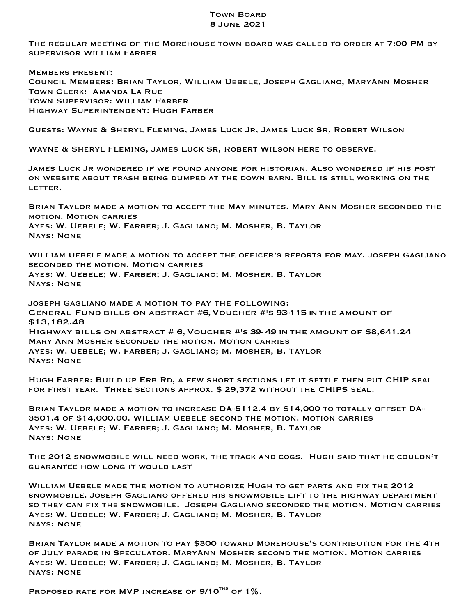## Town Board 8 June 2021

The regular meeting of the Morehouse town board was called to order at 7:00 PM by supervisor William Farber

Members present: Council Members: Brian Taylor, William Uebele, Joseph Gagliano, MaryAnn Mosher Town Clerk: Amanda La Rue Town Supervisor: William Farber Highway Superintendent: Hugh Farber

Guests: Wayne & Sheryl Fleming, James Luck Jr, James Luck Sr, Robert Wilson

Wayne & Sheryl Fleming, James Luck Sr, Robert Wilson here to observe.

James Luck Jr wondered if we found anyone for historian. Also wondered if his post on website about trash being dumped at the down barn. Bill is still working on the LETTER.

Brian Taylor made a motion to accept the May minutes. Mary Ann Mosher seconded the motion. Motion carries Ayes: W. Uebele; W. Farber; J. Gagliano; M. Mosher, B. Taylor Nays: None

William Uebele made a motion to accept the officer's reports for May. Joseph Gagliano seconded the motion. Motion carries Ayes: W. Uebele; W. Farber; J. Gagliano; M. Mosher, B. Taylor Nays: None

Joseph Gagliano made a motion to pay the following: General Fund bills on abstract #6,Voucher #'s 93-115 inthe amount of \$13,182.48 Highway bills on abstract # 6,Voucher #'s 39-49 inthe amount of \$8,641.24 Mary Ann Mosher seconded the motion. Motion carries Ayes: W. Uebele; W. Farber; J. Gagliano; M. Mosher, B. Taylor Nays: None

Hugh Farber: Build up Erb Rd, a few short sections let it settle then put CHIP seal for first year. Three sections approx. \$ 29,372 without the CHIPS seal.

Brian Taylor made a motion to increase DA-5112.4 by \$14,000 to totally offset DA-3501.4 of \$14,000.00. William Uebele second the motion. Motion carries Ayes: W. Uebele; W. Farber; J. Gagliano; M. Mosher, B. Taylor Nays: None

The 2012 snowmobile will need work, the track and cogs. Hugh said that he couldn't guarantee how long it would last

William Uebele made the motion to authorize Hugh to get parts and fix the 2012 snowmobile. Joseph Gagliano offered his snowmobile lift to the highway department so they can fix the snowmobile. Joseph Gagliano seconded the motion. Motion carries Ayes: W. Uebele; W. Farber; J. Gagliano; M. Mosher, B. Taylor Nays: None

Brian Taylor made a motion to pay \$300 toward Morehouse's contribution for the 4th of July parade in Speculator. MaryAnn Mosher second the motion. Motion carries Ayes: W. Uebele; W. Farber; J. Gagliano; M. Mosher, B. Taylor Nays: None

PROPOSED RATE FOR MVP INCREASE OF  $9/10^{THS}$  OF 1%.